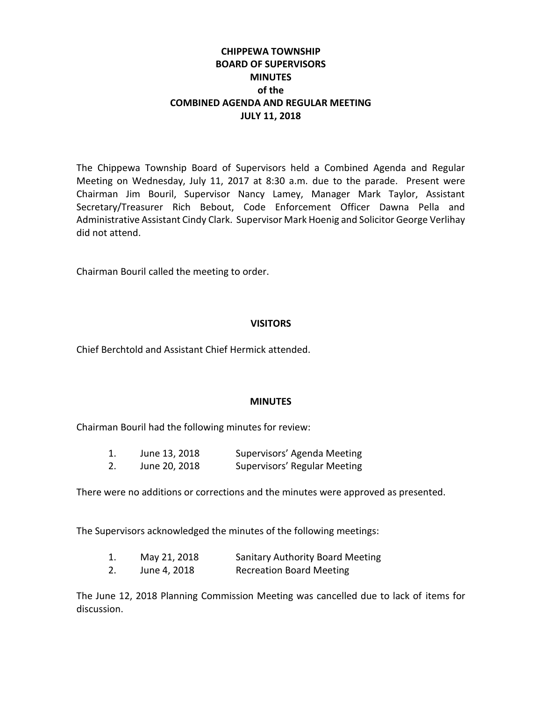# **CHIPPEWA TOWNSHIP BOARD OF SUPERVISORS MINUTES of the COMBINED AGENDA AND REGULAR MEETING JULY 11, 2018**

The Chippewa Township Board of Supervisors held a Combined Agenda and Regular Meeting on Wednesday, July 11, 2017 at 8:30 a.m. due to the parade. Present were Chairman Jim Bouril, Supervisor Nancy Lamey, Manager Mark Taylor, Assistant Secretary/Treasurer Rich Bebout, Code Enforcement Officer Dawna Pella and Administrative Assistant Cindy Clark. Supervisor Mark Hoenig and Solicitor George Verlihay did not attend.

Chairman Bouril called the meeting to order.

### **VISITORS**

Chief Berchtold and Assistant Chief Hermick attended.

### **MINUTES**

Chairman Bouril had the following minutes for review:

| June 13, 2018 | Supervisors' Agenda Meeting  |
|---------------|------------------------------|
| June 20, 2018 | Supervisors' Regular Meeting |

There were no additions or corrections and the minutes were approved as presented.

The Supervisors acknowledged the minutes of the following meetings:

| 1. | May 21, 2018 | <b>Sanitary Authority Board Meeting</b> |
|----|--------------|-----------------------------------------|
| 2. | June 4, 2018 | <b>Recreation Board Meeting</b>         |

The June 12, 2018 Planning Commission Meeting was cancelled due to lack of items for discussion.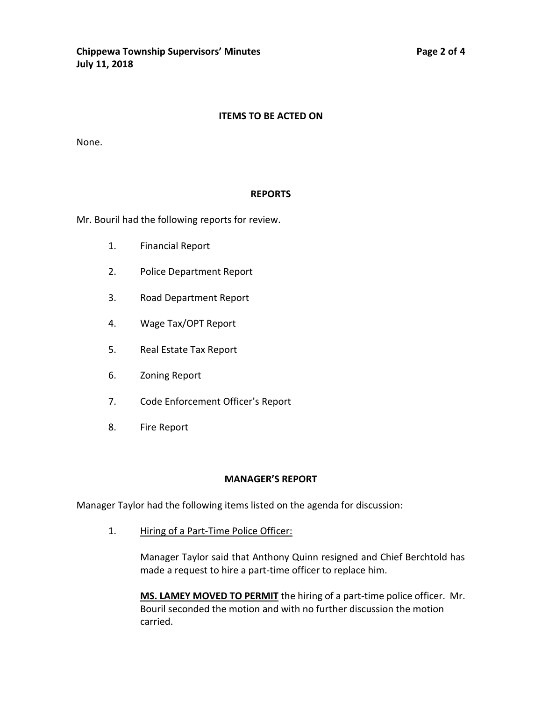#### **ITEMS TO BE ACTED ON**

None.

#### **REPORTS**

Mr. Bouril had the following reports for review.

- 1. Financial Report
- 2. Police Department Report
- 3. Road Department Report
- 4. Wage Tax/OPT Report
- 5. Real Estate Tax Report
- 6. Zoning Report
- 7. Code Enforcement Officer's Report
- 8. Fire Report

#### **MANAGER'S REPORT**

Manager Taylor had the following items listed on the agenda for discussion:

1. Hiring of a Part-Time Police Officer:

Manager Taylor said that Anthony Quinn resigned and Chief Berchtold has made a request to hire a part-time officer to replace him.

**MS. LAMEY MOVED TO PERMIT** the hiring of a part-time police officer. Mr. Bouril seconded the motion and with no further discussion the motion carried.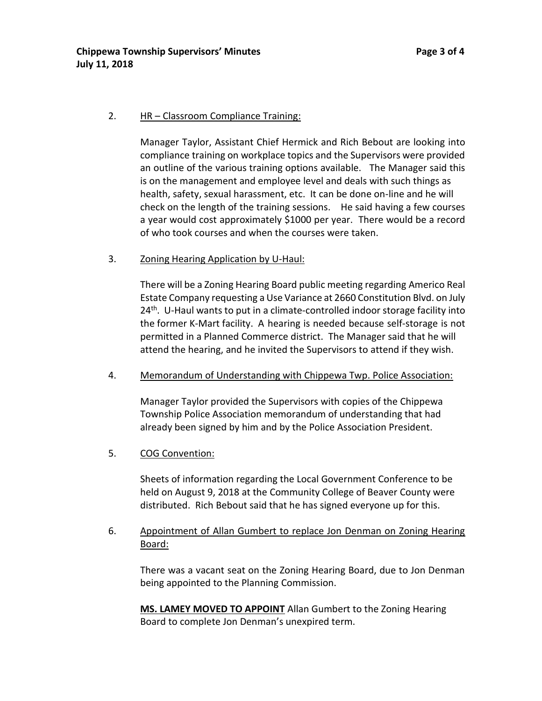### 2. HR – Classroom Compliance Training:

Manager Taylor, Assistant Chief Hermick and Rich Bebout are looking into compliance training on workplace topics and the Supervisors were provided an outline of the various training options available. The Manager said this is on the management and employee level and deals with such things as health, safety, sexual harassment, etc. It can be done on-line and he will check on the length of the training sessions. He said having a few courses a year would cost approximately \$1000 per year. There would be a record of who took courses and when the courses were taken.

#### 3. Zoning Hearing Application by U-Haul:

There will be a Zoning Hearing Board public meeting regarding Americo Real Estate Company requesting a Use Variance at 2660 Constitution Blvd. on July 24<sup>th</sup>. U-Haul wants to put in a climate-controlled indoor storage facility into the former K-Mart facility. A hearing is needed because self-storage is not permitted in a Planned Commerce district. The Manager said that he will attend the hearing, and he invited the Supervisors to attend if they wish.

### 4. Memorandum of Understanding with Chippewa Twp. Police Association:

Manager Taylor provided the Supervisors with copies of the Chippewa Township Police Association memorandum of understanding that had already been signed by him and by the Police Association President.

### 5. COG Convention:

Sheets of information regarding the Local Government Conference to be held on August 9, 2018 at the Community College of Beaver County were distributed. Rich Bebout said that he has signed everyone up for this.

## 6. Appointment of Allan Gumbert to replace Jon Denman on Zoning Hearing Board:

There was a vacant seat on the Zoning Hearing Board, due to Jon Denman being appointed to the Planning Commission.

**MS. LAMEY MOVED TO APPOINT** Allan Gumbert to the Zoning Hearing Board to complete Jon Denman's unexpired term.